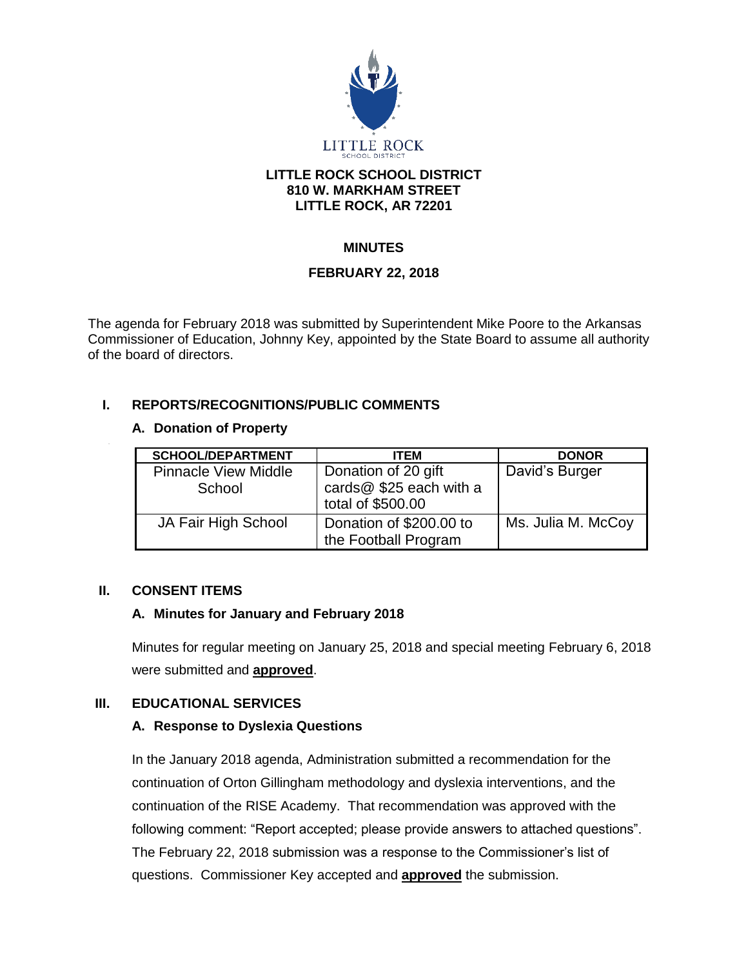

#### **LITTLE ROCK SCHOOL DISTRICT 810 W. MARKHAM STREET LITTLE ROCK, AR 72201**

# **MINUTES**

## **FEBRUARY 22, 2018**

The agenda for February 2018 was submitted by Superintendent Mike Poore to the Arkansas Commissioner of Education, Johnny Key, appointed by the State Board to assume all authority of the board of directors.

## **I. REPORTS/RECOGNITIONS/PUBLIC COMMENTS**

#### **A. Donation of Property**

| <b>SCHOOL/DEPARTMENT</b>              | <b>ITEM</b>                                                         | <b>DONOR</b>       |
|---------------------------------------|---------------------------------------------------------------------|--------------------|
| <b>Pinnacle View Middle</b><br>School | Donation of 20 gift<br>cards@ \$25 each with a<br>total of \$500.00 | David's Burger     |
| JA Fair High School                   | Donation of \$200.00 to<br>the Football Program                     | Ms. Julia M. McCoy |

#### **II. CONSENT ITEMS**

# **A. Minutes for January and February 2018**

Minutes for regular meeting on January 25, 2018 and special meeting February 6, 2018 were submitted and **approved**.

# **III. EDUCATIONAL SERVICES**

#### **A. Response to Dyslexia Questions**

In the January 2018 agenda, Administration submitted a recommendation for the continuation of Orton Gillingham methodology and dyslexia interventions, and the continuation of the RISE Academy. That recommendation was approved with the following comment: "Report accepted; please provide answers to attached questions". The February 22, 2018 submission was a response to the Commissioner's list of questions. Commissioner Key accepted and **approved** the submission.